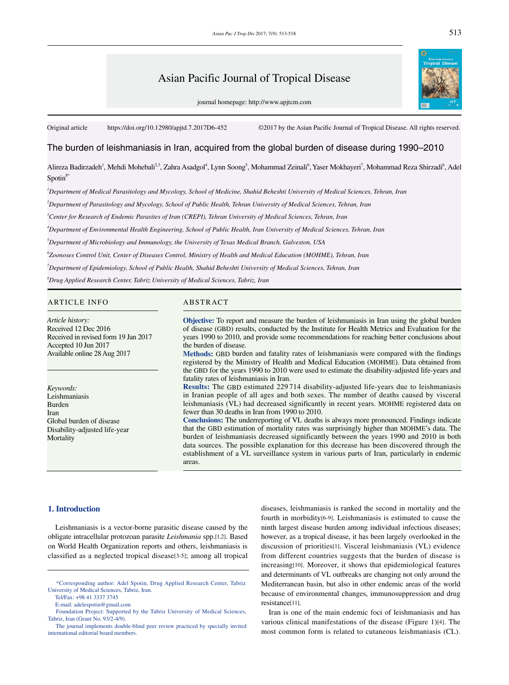# Asian Pacific Journal of Tropical Disease

journal homepage: http://www.apjtcm.com

Original article https://doi.org/10.12980/apjtd.7.2017D6-452 ©2017 by the Asian Pacific Journal of Tropical Disease. All rights reserved.

## The burden of leishmaniasis in Iran, acquired from the global burden of disease during 1990–2010

Alireza Badirzadeh<sup>1</sup>, Mehdi Mohebali<sup>2,3</sup>, Zahra Asadgol<sup>4</sup>, Lynn Soong<sup>5</sup>, Mohammad Zeinali<sup>6</sup>, Yaser Mokhayeri<sup>7</sup>, Mohammad Reza Shirzadi<sup>6</sup>, Adel  $S$ potin $8*$ 

*1 Department of Medical Parasitology and Mycology, School of Medicine, Shahid Beheshti University of Medical Sciences, Tehran, Iran*

*2 Department of Parasitology and Mycology, School of Public Health, Tehran University of Medical Sciences, Tehran, Iran* 

*3 Center for Research of Endemic Parasites of Iran (CREPI), Tehran University of Medical Sciences, Tehran, Iran*

*4 Department of Environmental Health Engineering, School of Public Health, Iran University of Medical Sciences, Tehran, Iran*

*5 Department of Microbiology and Immunology, the University of Texas Medical Branch, Galveston, USA*

*6 Zoonoses Control Unit, Center of Diseases Control, Ministry of Health and Medical Education (MOHME), Tehran, Iran*

*7 Department of Epidemiology, School of Public Health, Shahid Beheshti University of Medical Sciences, Tehran, Iran*

*8 Drug Applied Research Center, Tabriz University of Medical Sciences, Tabriz, Iran*

## ARTICLE INFO ABSTRACT

*Article history:* Received 12 Dec 2016 Received in revised form 19 Jan 2017 Accepted 10 Jun 2017 Available online 28 Aug 2017

*Keywords:* Leishmaniasis Burden Iran Global burden of disease Disability-adjusted life-year **Mortality** 

**Objective:** To report and measure the burden of leishmaniasis in Iran using the global burden of disease (GBD) results, conducted by the Institute for Health Metrics and Evaluation for the years 1990 to 2010, and provide some recommendations for reaching better conclusions about the burden of disease.

**Methods:** GBD burden and fatality rates of leishmaniasis were compared with the findings registered by the Ministry of Health and Medical Education (MOHME). Data obtained from the GBD for the years 1990 to 2010 were used to estimate the disability-adjusted life-years and fatality rates of leishmaniasis in Iran.

**Results:** The GBD estimated 229 714 disability-adjusted life-years due to leishmaniasis in Iranian people of all ages and both sexes. The number of deaths caused by visceral leishmaniasis (VL) had decreased significantly in recent years. MOHME registered data on fewer than 30 deaths in Iran from 1990 to 2010.

**Conclusions:** The underreporting of VL deaths is always more pronounced. Findings indicate that the GBD estimation of mortality rates was surprisingly higher than MOHME's data. The burden of leishmaniasis decreased significantly between the years 1990 and 2010 in both data sources. The possible explanation for this decrease has been discovered through the establishment of a VL surveillance system in various parts of Iran, particularly in endemic areas.

#### **1. Introduction**

 Leishmaniasis is a vector-borne parasitic disease caused by the obligate intracellular protozoan parasite *Leishmania* spp.[1,2]. Based on World Health Organization reports and others, leishmaniasis is classified as a neglected tropical disease[3-5]; among all tropical diseases, leishmaniasis is ranked the second in mortality and the fourth in morbidity[6-9]. Leishmaniasis is estimated to cause the ninth largest disease burden among individual infectious diseases; however, as a tropical disease, it has been largely overlooked in the discussion of priorities[1]. Visceral leishmaniasis (VL) evidence from different countries suggests that the burden of disease is increasing[10]. Moreover, it shows that epidemiological features and determinants of VL outbreaks are changing not only around the Mediterranean basin, but also in other endemic areas of the world because of environmental changes, immunosuppression and drug resistance[11].

 Iran is one of the main endemic foci of leishmaniasis and has various clinical manifestations of the disease (Figure 1)[4]. The most common form is related to cutaneous leishmaniasis (CL).

513

 <sup>\*</sup>Corresponding author: Adel Spotin, Drug Applied Research Center, Tabriz University of Medical Sciences, Tabriz, Iran.

Tel/Fax: +98 41 3337 3745

E-mail: adelespotin@gmail.com

Foundation Project: Supported by the Tabriz University of Medical Sciences, Tabriz, Iran (Grant No. 93/2-4/9).

The journal implements double-blind peer review practiced by specially invited international editorial board members.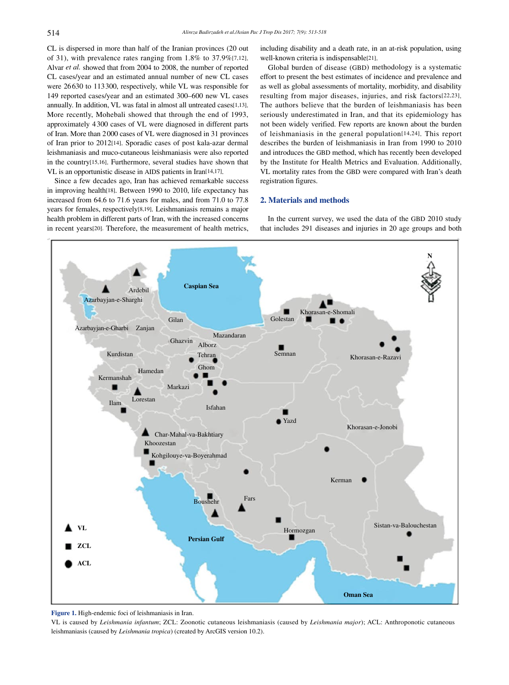CL is dispersed in more than half of the Iranian provinces (20 out of 31), with prevalence rates ranging from 1.8% to 37.9%[7,12]. Alvar *et al.* showed that from 2004 to 2008, the number of reported CL cases/year and an estimated annual number of new CL cases were 26630 to 113300, respectively, while VL was responsible for 149 reported cases/year and an estimated 300–600 new VL cases annually. In addition, VL was fatal in almost all untreated cases[1,13]. More recently, Mohebali showed that through the end of 1993, approximately 4300 cases of VL were diagnosed in different parts of Iran. More than 2000 cases of VL were diagnosed in 31 provinces of Iran prior to 2012[14]. Sporadic cases of post kala-azar dermal leishmaniasis and muco-cutaneous leishmaniasis were also reported in the country[15,16]. Furthermore, several studies have shown that VL is an opportunistic disease in AIDS patients in Iran[14,17].

 Since a few decades ago, Iran has achieved remarkable success in improving health[18]. Between 1990 to 2010, life expectancy has increased from 64.6 to 71.6 years for males, and from 71.0 to 77.8 years for females, respectively[8,19]. Leishmaniasis remains a major health problem in different parts of Iran, with the increased concerns in recent years[20]. Therefore, the measurement of health metrics, including disability and a death rate, in an at-risk population, using well-known criteria is indispensable[21].

 Global burden of disease (GBD) methodology is a systematic effort to present the best estimates of incidence and prevalence and as well as global assessments of mortality, morbidity, and disability resulting from major diseases, injuries, and risk factors[22,23]. The authors believe that the burden of leishmaniasis has been seriously underestimated in Iran, and that its epidemiology has not been widely verified. Few reports are known about the burden of leishmaniasis in the general population[14,24]. This report describes the burden of leishmaniasis in Iran from 1990 to 2010 and introduces the GBD method, which has recently been developed by the Institute for Health Metrics and Evaluation. Additionally, VL mortality rates from the GBD were compared with Iran's death registration figures.

### **2. Materials and methods**

 In the current survey, we used the data of the GBD 2010 study that includes 291 diseases and injuries in 20 age groups and both



**Figure 1.** High-endemic foci of leishmaniasis in Iran.

VL is caused by *Leishmania infantum*; ZCL: Zoonotic cutaneous leishmaniasis (caused by *Leishmania major*); ACL: Anthroponotic cutaneous leishmaniasis (caused by *Leishmania tropica*) (created by ArcGIS version 10.2).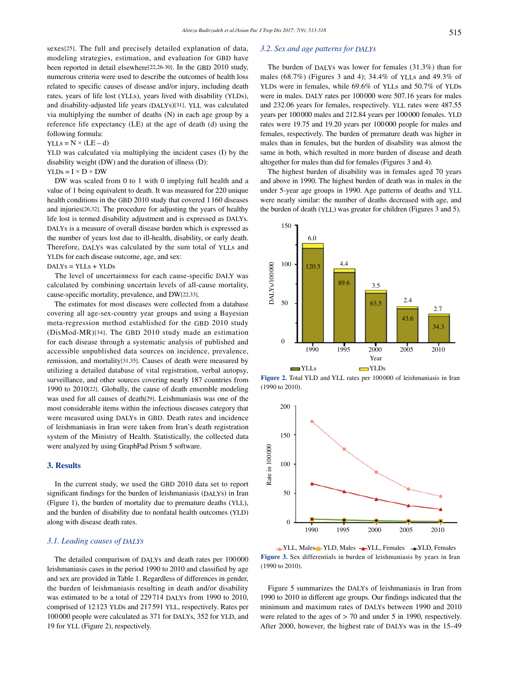sexes[25]. The full and precisely detailed explanation of data, modeling strategies, estimation, and evaluation for GBD have been reported in detail elsewhere[22,26-30]. In the GBD 2010 study, numerous criteria were used to describe the outcomes of health loss related to specific causes of disease and/or injury, including death rates, years of life lost (YLLs), years lived with disability (YLDs), and disability-adjusted life years (DALYs)[31]. YLL was calculated via multiplying the number of deaths (N) in each age group by a reference life expectancy (LE) at the age of death (d) using the following formula:

 $YLLs = N \times (LE - d)$ 

YLD was calculated via multiplying the incident cases (I) by the disability weight (DW) and the duration of illness (D):

## $YLDs = I \times D \times DW$

 DW was scaled from 0 to 1 with 0 implying full health and a value of 1 being equivalent to death. It was measured for 220 unique health conditions in the GBD 2010 study that covered 1160 diseases and injuries[26,32]. The procedure for adjusting the years of healthy life lost is termed disability adjustment and is expressed as DALYs. DALYs is a measure of overall disease burden which is expressed as the number of years lost due to ill-health, disability, or early death. Therefore, DALYs was calculated by the sum total of YLLs and YLDs for each disease outcome, age, and sex:

DALYs = YLLs + YLDs

 The level of uncertainness for each cause-specific DALY was calculated by combining uncertain levels of all-cause mortality, cause-specific mortality, prevalence, and DW[22,33].

 The estimates for most diseases were collected from a database covering all age-sex-country year groups and using a Bayesian meta-regression method established for the GBD 2010 study (DisMod-MR)[34]. The GBD 2010 study made an estimation for each disease through a systematic analysis of published and accessible unpublished data sources on incidence, prevalence, remission, and mortality[31,35]. Causes of death were measured by utilizing a detailed database of vital registration, verbal autopsy, surveillance, and other sources covering nearly 187 countries from 1990 to 2010[22]. Globally, the cause of death ensemble modeling was used for all causes of death[29]. Leishmaniasis was one of the most considerable items within the infectious diseases category that were measured using DALYs in GBD. Death rates and incidence of leishmaniasis in Iran were taken from Iran's death registration system of the Ministry of Health. Statistically, the collected data were analyzed by using GraphPad Prism 5 software.

## **3. Results**

 In the current study, we used the GBD 2010 data set to report significant findings for the burden of leishmaniasis (DALYs) in Iran (Figure 1), the burden of mortality due to premature deaths (YLL), and the burden of disability due to nonfatal health outcomes (YLD) along with disease death rates.

## *3.1. Leading causes of DALYs*

 The detailed comparison of DALYs and death rates per 100000 leishmaniasis cases in the period 1990 to 2010 and classified by age and sex are provided in Table 1. Regardless of differences in gender, the burden of leishmaniasis resulting in death and/or disability was estimated to be a total of 229 714 DALYs from 1990 to 2010, comprised of 12123 YLDs and 217591 YLL, respectively. Rates per 100000 people were calculated as 371 for DALYs, 352 for YLD, and 19 for YLL (Figure 2), respectively.

## *3.2. Sex and age patterns for DALYs*

 The burden of DALYs was lower for females (31.3%) than for males (68.7%) (Figures 3 and 4); 34.4% of YLLs and 49.3% of YLDs were in females, while 69.6% of YLLs and 50.7% of YLDs were in males. DALY rates per 100000 were 507.16 years for males and 232.06 years for females, respectively. YLL rates were 487.55 years per 100000 males and 212.84 years per 100000 females. YLD rates were 19.75 and 19.20 years per 100000 people for males and females, respectively. The burden of premature death was higher in males than in females, but the burden of disability was almost the same in both, which resulted in more burden of disease and death altogether for males than did for females (Figures 3 and 4).

 The highest burden of disability was in females aged 70 years and above in 1990. The highest burden of death was in males in the under 5-year age groups in 1990. Age patterns of deaths and YLL were nearly similar: the number of deaths decreased with age, and the burden of death (YLL) was greater for children (Figures 3 and 5).



**Figure 2.** Total YLD and YLL rates per 100 000 of leishmaniasis in Iran (1990 to 2010).



◆ YLL, Males → YLD, Males → YLL, Females → YLD, Females **Figure 3.** Sex differentials in burden of leishmaniasis by years in Iran (1990 to 2010).

 Figure 5 summarizes the DALYs of leishmaniasis in Iran from 1990 to 2010 in different age groups. Our findings indicated that the minimum and maximum rates of DALYs between 1990 and 2010 were related to the ages of > 70 and under 5 in 1990, respectively. After 2000, however, the highest rate of DALYs was in the 15–49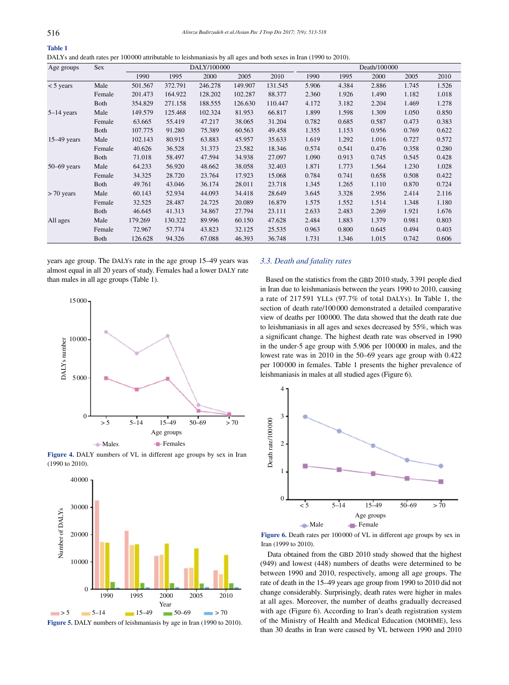| DALYs and death rates per 100000 attributable to leishmaniasis by all ages and both sexes in Iran (1990 to 2010). |  |  |
|-------------------------------------------------------------------------------------------------------------------|--|--|
|-------------------------------------------------------------------------------------------------------------------|--|--|

| Age groups      | <b>Sex</b>  | DALY/100000 |         |         |         | Death/100000 |       |       |       |       |       |
|-----------------|-------------|-------------|---------|---------|---------|--------------|-------|-------|-------|-------|-------|
|                 |             | 1990        | 1995    | 2000    | 2005    | 2010         | 1990  | 1995  | 2000  | 2005  | 2010  |
| $<$ 5 years     | Male        | 501.567     | 372.791 | 246.278 | 149.907 | 131.545      | 5.906 | 4.384 | 2.886 | 1.745 | 1.526 |
|                 | Female      | 201.473     | 164.922 | 128.202 | 102.287 | 88.377       | 2.360 | 1.926 | 1.490 | 1.182 | 1.018 |
|                 | <b>Both</b> | 354.829     | 271.158 | 188.555 | 126.630 | 110.447      | 4.172 | 3.182 | 2.204 | 1.469 | 1.278 |
| $5-14$ years    | Male        | 149.579     | 125.468 | 102.324 | 81.953  | 66.817       | 1.899 | 1.598 | 1.309 | 1.050 | 0.850 |
|                 | Female      | 63.665      | 55.419  | 47.217  | 38.065  | 31.204       | 0.782 | 0.685 | 0.587 | 0.473 | 0.383 |
|                 | Both        | 107.775     | 91.280  | 75.389  | 60.563  | 49.458       | 1.355 | 1.153 | 0.956 | 0.769 | 0.622 |
| $15-49$ years   | Male        | 102.143     | 80.915  | 63.883  | 45.957  | 35.633       | 1.619 | 1.292 | 1.016 | 0.727 | 0.572 |
|                 | Female      | 40.626      | 36.528  | 31.373  | 23.582  | 18.346       | 0.574 | 0.541 | 0.476 | 0.358 | 0.280 |
|                 | Both        | 71.018      | 58.497  | 47.594  | 34.938  | 27.097       | 1.090 | 0.913 | 0.745 | 0.545 | 0.428 |
| $50 - 69$ years | Male        | 64.233      | 56.920  | 48.662  | 38.058  | 32.403       | 1.871 | 1.773 | 1.564 | 1.230 | 1.028 |
|                 | Female      | 34.325      | 28.720  | 23.764  | 17.923  | 15.068       | 0.784 | 0.741 | 0.658 | 0.508 | 0.422 |
|                 | Both        | 49.761      | 43.046  | 36.174  | 28.011  | 23.718       | 1.345 | 1.265 | 1.110 | 0.870 | 0.724 |
| $> 70$ years    | Male        | 60.143      | 52.934  | 44.093  | 34.418  | 28.649       | 3.645 | 3.328 | 2.956 | 2.414 | 2.116 |
|                 | Female      | 32.525      | 28.487  | 24.725  | 20.089  | 16.879       | 1.575 | 1.552 | 1.514 | 1.348 | 1.180 |
|                 | Both        | 46.645      | 41.313  | 34.867  | 27.794  | 23.111       | 2.633 | 2.483 | 2.269 | 1.921 | 1.676 |
| All ages        | Male        | 179.269     | 130.322 | 89.996  | 60.150  | 47.628       | 2.484 | 1.883 | 1.379 | 0.981 | 0.803 |
|                 | Female      | 72.967      | 57.774  | 43.823  | 32.125  | 25.535       | 0.963 | 0.800 | 0.645 | 0.494 | 0.403 |
|                 | Both        | 126.628     | 94.326  | 67.088  | 46.393  | 36.748       | 1.731 | 1.346 | 1.015 | 0.742 | 0.606 |

years age group. The DALYs rate in the age group 15–49 years was almost equal in all 20 years of study. Females had a lower DALY rate than males in all age groups (Table 1).



**Figure 4.** DALY numbers of VL in different age groups by sex in Iran (1990 to 2010).



**Figure 5.** DALY numbers of leishmaniasis by age in Iran (1990 to 2010).

## *3.3. Death and fatality rates*

 Based on the statistics from the GBD 2010 study, 3391 people died in Iran due to leishmaniasis between the years 1990 to 2010, causing a rate of 217 591 YLLs (97.7% of total DALYs). In Table 1, the section of death rate/100 000 demonstrated a detailed comparative view of deaths per 100000. The data showed that the death rate due to leishmaniasis in all ages and sexes decreased by 55%, which was a significant change. The highest death rate was observed in 1990 in the under-5 age group with 5.906 per 100000 in males, and the lowest rate was in 2010 in the 50–69 years age group with 0.422 per 100 000 in females. Table 1 presents the higher prevalence of leishmaniasis in males at all studied ages (Figure 6).



**Figure 6.** Death rates per 100 000 of VL in different age groups by sex in Iran (1999 to 2010).

 Data obtained from the GBD 2010 study showed that the highest (949) and lowest (448) numbers of deaths were determined to be between 1990 and 2010, respectively, among all age groups. The rate of death in the 15–49 years age group from 1990 to 2010 did not change considerably. Surprisingly, death rates were higher in males at all ages. Moreover, the number of deaths gradually decreased with age (Figure 6). According to Iran's death registration system of the Ministry of Health and Medical Education (MOHME), less than 30 deaths in Iran were caused by VL between 1990 and 2010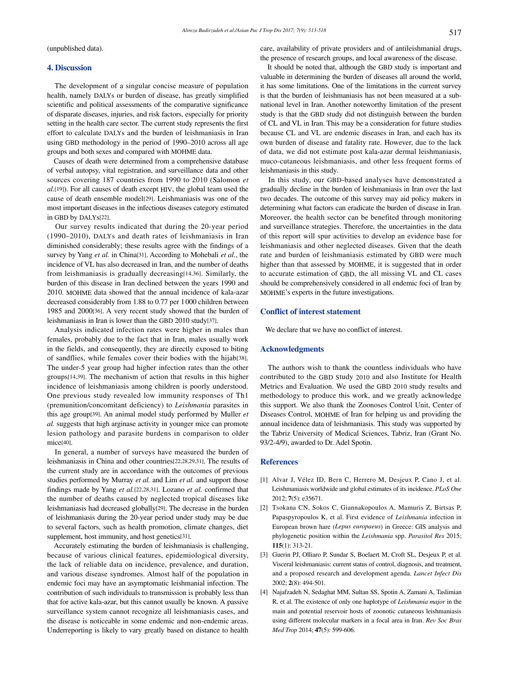(unpublished data).

## **4. Discussion**

 The development of a singular concise measure of population health, namely DALYs or burden of disease, has greatly simplified scientific and political assessments of the comparative significance of disparate diseases, injuries, and risk factors, especially for priority setting in the health care sector. The current study represents the first effort to calculate DALYs and the burden of leishmaniasis in Iran using GBD methodology in the period of 1990–2010 across all age groups and both sexes and compared with MOHME data.

 Causes of death were determined from a comprehensive database of verbal autopsy, vital registration, and surveillance data and other sources covering 187 countries from 1990 to 2010 (Salomon *et al.*[19]). For all causes of death except HIV, the global team used the cause of death ensemble model[29]. Leishmaniasis was one of the most important diseases in the infectious diseases category estimated in GBD by DALYs[22].

 Our survey results indicated that during the 20-year period (1990–2010), DALYs and death rates of leishmaniasis in Iran diminished considerably; these results agree with the findings of a survey by Yang *et al.* in China[31]. According to Mohebali *et al.*, the incidence of VL has also decreased in Iran, and the number of deaths from leishmaniasis is gradually decreasing[14,36]. Similarly, the burden of this disease in Iran declined between the years 1990 and 2010. MOHME data showed that the annual incidence of kala-azar decreased considerably from 1.88 to 0.77 per 1000 children between 1985 and 2000[36]. A very recent study showed that the burden of leishmaniasis in Iran is lower than the GBD 2010 study[37].

 Analysis indicated infection rates were higher in males than females, probably due to the fact that in Iran, males usually work in the fields, and consequently, they are directly exposed to biting of sandflies, while females cover their bodies with the hijab[38]. The under-5 year group had higher infection rates than the other groups[14,39]. The mechanism of action that results in this higher incidence of leishmaniasis among children is poorly understood. One previous study revealed low immunity responses of Th1 (premunition/concomitant deficiency) to *Leishmania* parasites in this age group[39]. An animal model study performed by Muller *et al.* suggests that high arginase activity in younger mice can promote lesion pathology and parasite burdens in comparison to older mice[40].

 In general, a number of surveys have measured the burden of leishmaniasis in China and other countries[22,28,29,31]. The results of the current study are in accordance with the outcomes of previous studies performed by Murray *et al.* and Lim *et al.* and support those findings made by Yang *et al.*[22,28,31]. Lozano *et al.* confirmed that the number of deaths caused by neglected tropical diseases like leishmaniasis had decreased globally[29]. The decrease in the burden of leishmaniasis during the 20-year period under study may be due to several factors, such as health promotion, climate changes, diet supplement, host immunity, and host genetics[31].

 Accurately estimating the burden of leishmaniasis is challenging, because of various clinical features, epidemiological diversity, the lack of reliable data on incidence, prevalence, and duration, and various disease syndromes. Almost half of the population in endemic foci may have an asymptomatic leishmanial infection. The contribution of such individuals to transmission is probably less than that for active kala-azar, but this cannot usually be known. A passive surveillance system cannot recognize all leishmaniasis cases, and the disease is noticeable in some endemic and non-endemic areas. Underreporting is likely to vary greatly based on distance to health care, availability of private providers and of antileishmanial drugs, the presence of research groups, and local awareness of the disease.

 It should be noted that, although the GBD study is important and valuable in determining the burden of diseases all around the world, it has some limitations. One of the limitations in the current survey is that the burden of leishmaniasis has not been measured at a subnational level in Iran. Another noteworthy limitation of the present study is that the GBD study did not distinguish between the burden of CL and VL in Iran. This may be a consideration for future studies because CL and VL are endemic diseases in Iran, and each has its own burden of disease and fatality rate. However, due to the lack of data, we did not estimate post kala-azar dermal leishmaniasis, muco-cutaneous leishmaniasis, and other less frequent forms of leishmaniasis in this study.

 In this study, our GBD-based analyses have demonstrated a gradually decline in the burden of leishmaniasis in Iran over the last two decades. The outcome of this survey may aid policy makers in determining what factors can eradicate the burden of disease in Iran. Moreover, the health sector can be benefited through monitoring and surveillance strategies. Therefore, the uncertainties in the data of this report will spur activities to develop an evidence base for leishmaniasis and other neglected diseases. Given that the death rate and burden of leishmaniasis estimated by GBD were much higher than that assessed by MOHME, it is suggested that in order to accurate estimation of GBD, the all missing VL and CL cases should be comprehensively considered in all endemic foci of Iran by MOHME's experts in the future investigations.

#### **Conflict of interest statement**

We declare that we have no conflict of interest.

#### **Acknowledgments**

 The authors wish to thank the countless individuals who have contributed to the GBD Study 2010 and also Institute for Health Metrics and Evaluation. We used the GBD 2010 study results and methodology to produce this work, and we greatly acknowledge this support. We also thank the Zoonoses Control Unit, Center of Diseases Control, MOHME of Iran for helping us and providing the annual incidence data of leishmaniasis. This study was supported by the Tabriz University of Medical Sciences, Tabriz, Iran (Grant No. 93/2-4/9), awarded to Dr. Adel Spotin.

#### **References**

- [1] Alvar J, Vélez ID, Bern C, Herrero M, Desjeux P, Cano J, et al. Leishmaniasis worldwide and global estimates of its incidence. *PLoS One*  2012; **7**(5): e35671.
- [2] Tsokana CN, Sokos C, Giannakopoulos A, Mamuris Z, Birtsas P, Papaspyropoulos K, et al. First evidence of *Leishmania* infection in European brown hare (*Lepus europaeus*) in Greece: GIS analysis and phylogenetic position within the *Leishmania* spp. *Parasitol Res* 2015; **115**(1): 313-21.
- [3] Guerin PJ, Olliaro P, Sundar S, Boelaert M, Croft SL, Desjeux P, et al. Visceral leishmaniasis: current status of control, diagnosis, and treatment, and a proposed research and development agenda. *Lancet Infect Dis*  2002; **2**(8): 494-501.
- [4] Najafzadeh N, Sedaghat MM, Sultan SS, Spotin A, Zamani A, Taslimian R, et al. The existence of only one haplotype of *Leishmania major* in the main and potential reservoir hosts of zoonotic cutaneous leishmaniasis using different molecular markers in a focal area in Iran. *Rev Soc Bras Med Trop* 2014; **47**(5): 599-606.